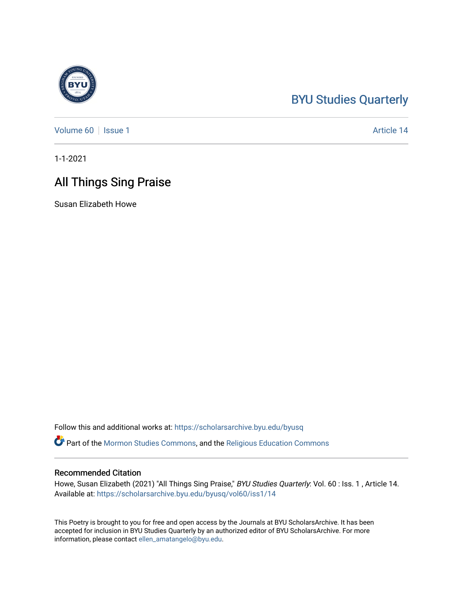## [BYU Studies Quarterly](https://scholarsarchive.byu.edu/byusq)

[Volume 60](https://scholarsarchive.byu.edu/byusq/vol60) | [Issue 1](https://scholarsarchive.byu.edu/byusq/vol60/iss1) Article 14

1-1-2021

## All Things Sing Praise

Susan Elizabeth Howe

Follow this and additional works at: [https://scholarsarchive.byu.edu/byusq](https://scholarsarchive.byu.edu/byusq?utm_source=scholarsarchive.byu.edu%2Fbyusq%2Fvol60%2Fiss1%2F14&utm_medium=PDF&utm_campaign=PDFCoverPages) 

Part of the [Mormon Studies Commons](http://network.bepress.com/hgg/discipline/1360?utm_source=scholarsarchive.byu.edu%2Fbyusq%2Fvol60%2Fiss1%2F14&utm_medium=PDF&utm_campaign=PDFCoverPages), and the [Religious Education Commons](http://network.bepress.com/hgg/discipline/1414?utm_source=scholarsarchive.byu.edu%2Fbyusq%2Fvol60%2Fiss1%2F14&utm_medium=PDF&utm_campaign=PDFCoverPages) 

## Recommended Citation

Howe, Susan Elizabeth (2021) "All Things Sing Praise," BYU Studies Quarterly: Vol. 60 : Iss. 1 , Article 14. Available at: [https://scholarsarchive.byu.edu/byusq/vol60/iss1/14](https://scholarsarchive.byu.edu/byusq/vol60/iss1/14?utm_source=scholarsarchive.byu.edu%2Fbyusq%2Fvol60%2Fiss1%2F14&utm_medium=PDF&utm_campaign=PDFCoverPages) 

This Poetry is brought to you for free and open access by the Journals at BYU ScholarsArchive. It has been accepted for inclusion in BYU Studies Quarterly by an authorized editor of BYU ScholarsArchive. For more information, please contact [ellen\\_amatangelo@byu.edu.](mailto:ellen_amatangelo@byu.edu)